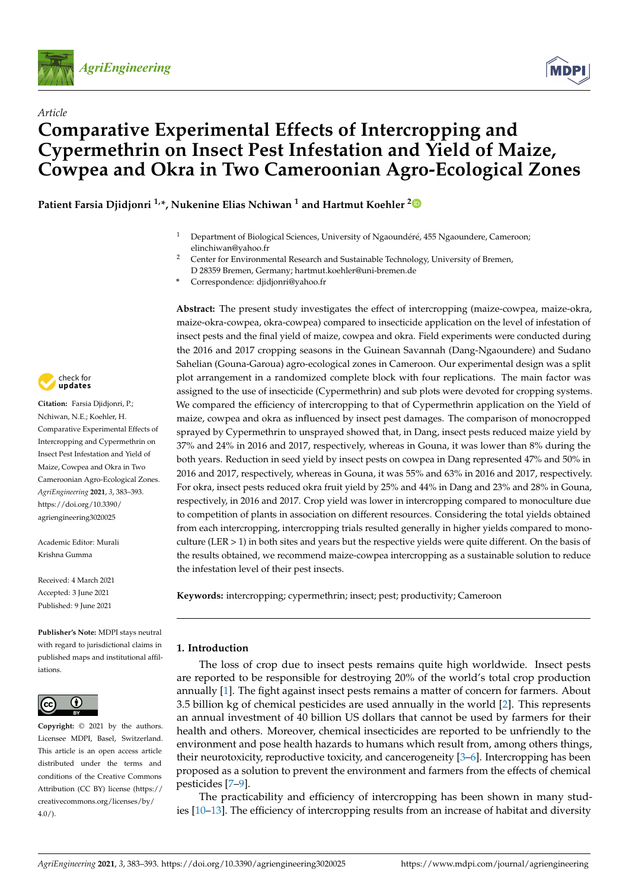

*Article*



# **Comparative Experimental Effects of Intercropping and Cypermethrin on Insect Pest Infestation and Yield of Maize, Cowpea and Okra in Two Cameroonian Agro-Ecological Zones**

**Patient Farsia Djidjonri 1,\*, Nukenine Elias Nchiwan <sup>1</sup> and Hartmut Koehler [2](https://orcid.org/0000-0003-3090-7941)**

- <sup>1</sup> Department of Biological Sciences, University of Ngaoundéré, 455 Ngaoundere, Cameroon; elinchiwan@yahoo.fr
- <sup>2</sup> Center for Environmental Research and Sustainable Technology, University of Bremen, D 28359 Bremen, Germany; hartmut.koehler@uni-bremen.de
- **\*** Correspondence: djidjonri@yahoo.fr

**Abstract:** The present study investigates the effect of intercropping (maize-cowpea, maize-okra, maize-okra-cowpea, okra-cowpea) compared to insecticide application on the level of infestation of insect pests and the final yield of maize, cowpea and okra. Field experiments were conducted during the 2016 and 2017 cropping seasons in the Guinean Savannah (Dang-Ngaoundere) and Sudano Sahelian (Gouna-Garoua) agro-ecological zones in Cameroon. Our experimental design was a split plot arrangement in a randomized complete block with four replications. The main factor was assigned to the use of insecticide (Cypermethrin) and sub plots were devoted for cropping systems. We compared the efficiency of intercropping to that of Cypermethrin application on the Yield of maize, cowpea and okra as influenced by insect pest damages. The comparison of monocropped sprayed by Cypermethrin to unsprayed showed that, in Dang, insect pests reduced maize yield by 37% and 24% in 2016 and 2017, respectively, whereas in Gouna, it was lower than 8% during the both years. Reduction in seed yield by insect pests on cowpea in Dang represented 47% and 50% in 2016 and 2017, respectively, whereas in Gouna, it was 55% and 63% in 2016 and 2017, respectively. For okra, insect pests reduced okra fruit yield by 25% and 44% in Dang and 23% and 28% in Gouna, respectively, in 2016 and 2017. Crop yield was lower in intercropping compared to monoculture due to competition of plants in association on different resources. Considering the total yields obtained from each intercropping, intercropping trials resulted generally in higher yields compared to monoculture (LER > 1) in both sites and years but the respective yields were quite different. On the basis of the results obtained, we recommend maize-cowpea intercropping as a sustainable solution to reduce the infestation level of their pest insects.

**Keywords:** intercropping; cypermethrin; insect; pest; productivity; Cameroon

## **1. Introduction**

The loss of crop due to insect pests remains quite high worldwide. Insect pests are reported to be responsible for destroying 20% of the world's total crop production annually [\[1\]](#page-8-0). The fight against insect pests remains a matter of concern for farmers. About 3.5 billion kg of chemical pesticides are used annually in the world [\[2\]](#page-8-1). This represents an annual investment of 40 billion US dollars that cannot be used by farmers for their health and others. Moreover, chemical insecticides are reported to be unfriendly to the environment and pose health hazards to humans which result from, among others things, their neurotoxicity, reproductive toxicity, and cancerogeneity [\[3–](#page-8-2)[6\]](#page-9-0). Intercropping has been proposed as a solution to prevent the environment and farmers from the effects of chemical pesticides [\[7](#page-9-1)[–9\]](#page-9-2).

The practicability and efficiency of intercropping has been shown in many studies [\[10–](#page-9-3)[13\]](#page-9-4). The efficiency of intercropping results from an increase of habitat and diversity



**Citation:** Farsia Djidjonri, P.; Nchiwan, N.E.; Koehler, H. Comparative Experimental Effects of Intercropping and Cypermethrin on Insect Pest Infestation and Yield of Maize, Cowpea and Okra in Two Cameroonian Agro-Ecological Zones. *AgriEngineering* **2021**, *3*, 383–393. [https://doi.org/10.3390/](https://doi.org/10.3390/agriengineering3020025) [agriengineering3020025](https://doi.org/10.3390/agriengineering3020025)

Academic Editor: Murali Krishna Gumma

Received: 4 March 2021 Accepted: 3 June 2021 Published: 9 June 2021

**Publisher's Note:** MDPI stays neutral with regard to jurisdictional claims in published maps and institutional affiliations.



**Copyright:** © 2021 by the authors. Licensee MDPI, Basel, Switzerland. This article is an open access article distributed under the terms and conditions of the Creative Commons Attribution (CC BY) license (https:/[/](https://creativecommons.org/licenses/by/4.0/) [creativecommons.org/licenses/by/](https://creativecommons.org/licenses/by/4.0/)  $4.0/$ ).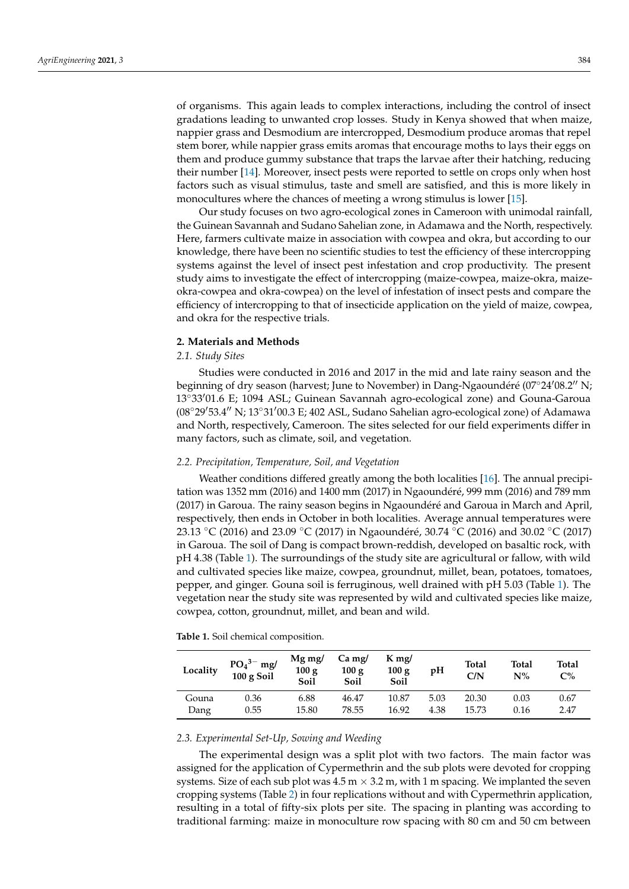of organisms. This again leads to complex interactions, including the control of insect gradations leading to unwanted crop losses. Study in Kenya showed that when maize, nappier grass and Desmodium are intercropped, Desmodium produce aromas that repel stem borer, while nappier grass emits aromas that encourage moths to lays their eggs on them and produce gummy substance that traps the larvae after their hatching, reducing their number [\[14\]](#page-9-5). Moreover, insect pests were reported to settle on crops only when host factors such as visual stimulus, taste and smell are satisfied, and this is more likely in monocultures where the chances of meeting a wrong stimulus is lower [\[15\]](#page-9-6).

Our study focuses on two agro-ecological zones in Cameroon with unimodal rainfall, the Guinean Savannah and Sudano Sahelian zone, in Adamawa and the North, respectively. Here, farmers cultivate maize in association with cowpea and okra, but according to our knowledge, there have been no scientific studies to test the efficiency of these intercropping systems against the level of insect pest infestation and crop productivity. The present study aims to investigate the effect of intercropping (maize-cowpea, maize-okra, maizeokra-cowpea and okra-cowpea) on the level of infestation of insect pests and compare the efficiency of intercropping to that of insecticide application on the yield of maize, cowpea, and okra for the respective trials.

## **2. Materials and Methods**

## *2.1. Study Sites*

Studies were conducted in 2016 and 2017 in the mid and late rainy season and the beginning of dry season (harvest; June to November) in Dang-Ngaoundéré (07°24'08.2" N; 13◦33001.6 E; 1094 ASL; Guinean Savannah agro-ecological zone) and Gouna-Garoua  $(08°29'53.4''$  N;  $13°31'00.3$  E; 402 ASL, Sudano Sahelian agro-ecological zone) of Adamawa and North, respectively, Cameroon. The sites selected for our field experiments differ in many factors, such as climate, soil, and vegetation.

## *2.2. Precipitation, Temperature, Soil, and Vegetation*

Weather conditions differed greatly among the both localities [\[16\]](#page-9-7). The annual precipitation was 1352 mm (2016) and 1400 mm (2017) in Ngaoundéré, 999 mm (2016) and 789 mm (2017) in Garoua. The rainy season begins in Ngaoundéré and Garoua in March and April, respectively, then ends in October in both localities. Average annual temperatures were 23.13 °C (2016) and 23.09 °C (2017) in Ngaoundéré, 30.74 °C (2016) and 30.02 °C (2017) in Garoua. The soil of Dang is compact brown-reddish, developed on basaltic rock, with pH 4.38 (Table [1\)](#page-1-0). The surroundings of the study site are agricultural or fallow, with wild and cultivated species like maize, cowpea, groundnut, millet, bean, potatoes, tomatoes, pepper, and ginger. Gouna soil is ferruginous, well drained with pH 5.03 (Table [1\)](#page-1-0). The vegetation near the study site was represented by wild and cultivated species like maize, cowpea, cotton, groundnut, millet, and bean and wild.

<span id="page-1-0"></span>

| Table 1. Soil chemical composition. |  |
|-------------------------------------|--|
|-------------------------------------|--|

| Locality | $PO43- mg/$<br>100 g Soil | $Mg$ mg/<br>100 g<br>Soil | $Ca$ mg/<br>100 g<br>Soil | $K$ mg/<br>100 g<br>Soil | pH   | Total<br>C/N | Total<br>$N\%$ | <b>Total</b><br>C% |
|----------|---------------------------|---------------------------|---------------------------|--------------------------|------|--------------|----------------|--------------------|
| Gouna    | 0.36                      | 6.88                      | 46.47                     | 10.87                    | 5.03 | 20.30        | 0.03           | 0.67               |
| Dang     | 0.55                      | 15.80                     | 78.55                     | 16.92                    | 4.38 | 15.73        | 0.16           | 2.47               |

# *2.3. Experimental Set-Up, Sowing and Weeding*

The experimental design was a split plot with two factors. The main factor was assigned for the application of Cypermethrin and the sub plots were devoted for cropping systems. Size of each sub plot was  $4.5 \text{ m} \times 3.2 \text{ m}$ , with 1 m spacing. We implanted the seven cropping systems (Table [2\)](#page-2-0) in four replications without and with Cypermethrin application, resulting in a total of fifty-six plots per site. The spacing in planting was according to traditional farming: maize in monoculture row spacing with 80 cm and 50 cm between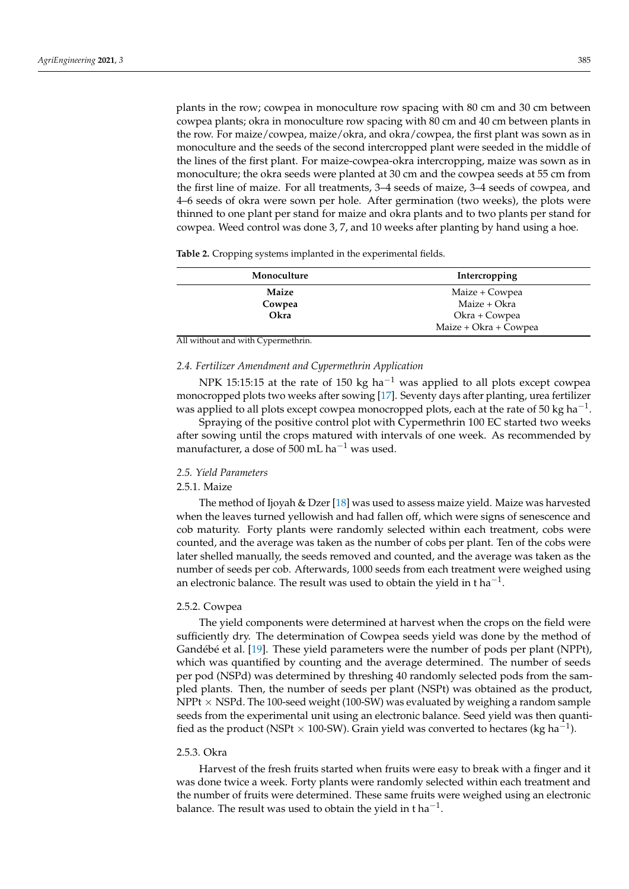plants in the row; cowpea in monoculture row spacing with 80 cm and 30 cm between cowpea plants; okra in monoculture row spacing with 80 cm and 40 cm between plants in the row. For maize/cowpea, maize/okra, and okra/cowpea, the first plant was sown as in monoculture and the seeds of the second intercropped plant were seeded in the middle of the lines of the first plant. For maize-cowpea-okra intercropping, maize was sown as in monoculture; the okra seeds were planted at 30 cm and the cowpea seeds at 55 cm from the first line of maize. For all treatments, 3–4 seeds of maize, 3–4 seeds of cowpea, and 4–6 seeds of okra were sown per hole. After germination (two weeks), the plots were thinned to one plant per stand for maize and okra plants and to two plants per stand for cowpea. Weed control was done 3, 7, and 10 weeks after planting by hand using a hoe.

<span id="page-2-0"></span>**Table 2.** Cropping systems implanted in the experimental fields.

| Monoculture | Intercropping         |
|-------------|-----------------------|
| Maize       | Maize + Cowpea        |
| Cowpea      | Maize + Okra          |
| Okra        | Okra + Cowpea         |
|             | Maize + Okra + Cowpea |

All without and with Cypermethrin.

#### *2.4. Fertilizer Amendment and Cypermethrin Application*

NPK 15:15:15 at the rate of 150 kg ha<sup>-1</sup> was applied to all plots except cowpea monocropped plots two weeks after sowing [\[17\]](#page-9-8). Seventy days after planting, urea fertilizer was applied to all plots except cowpea monocropped plots, each at the rate of 50 kg ha<sup>-1</sup>.

Spraying of the positive control plot with Cypermethrin 100 EC started two weeks after sowing until the crops matured with intervals of one week. As recommended by manufacturer, a dose of 500 mL ha<sup> $-1$ </sup> was used.

## *2.5. Yield Parameters*

## 2.5.1. Maize

The method of Ijoyah & Dzer [\[18\]](#page-9-9) was used to assess maize yield. Maize was harvested when the leaves turned yellowish and had fallen off, which were signs of senescence and cob maturity. Forty plants were randomly selected within each treatment, cobs were counted, and the average was taken as the number of cobs per plant. Ten of the cobs were later shelled manually, the seeds removed and counted, and the average was taken as the number of seeds per cob. Afterwards, 1000 seeds from each treatment were weighed using an electronic balance. The result was used to obtain the yield in t ha<sup>-1</sup>.

## 2.5.2. Cowpea

The yield components were determined at harvest when the crops on the field were sufficiently dry. The determination of Cowpea seeds yield was done by the method of Gandébé et al. [\[19\]](#page-9-10). These yield parameters were the number of pods per plant (NPPt), which was quantified by counting and the average determined. The number of seeds per pod (NSPd) was determined by threshing 40 randomly selected pods from the sampled plants. Then, the number of seeds per plant (NSPt) was obtained as the product, NPP $t \times$  NSPd. The 100-seed weight (100-SW) was evaluated by weighing a random sample seeds from the experimental unit using an electronic balance. Seed yield was then quantified as the product (NSPt × 100-SW). Grain yield was converted to hectares (kg ha<sup>-1</sup>).

#### 2.5.3. Okra

Harvest of the fresh fruits started when fruits were easy to break with a finger and it was done twice a week. Forty plants were randomly selected within each treatment and the number of fruits were determined. These same fruits were weighed using an electronic balance. The result was used to obtain the yield in t $\,$ ha $^{-1}.$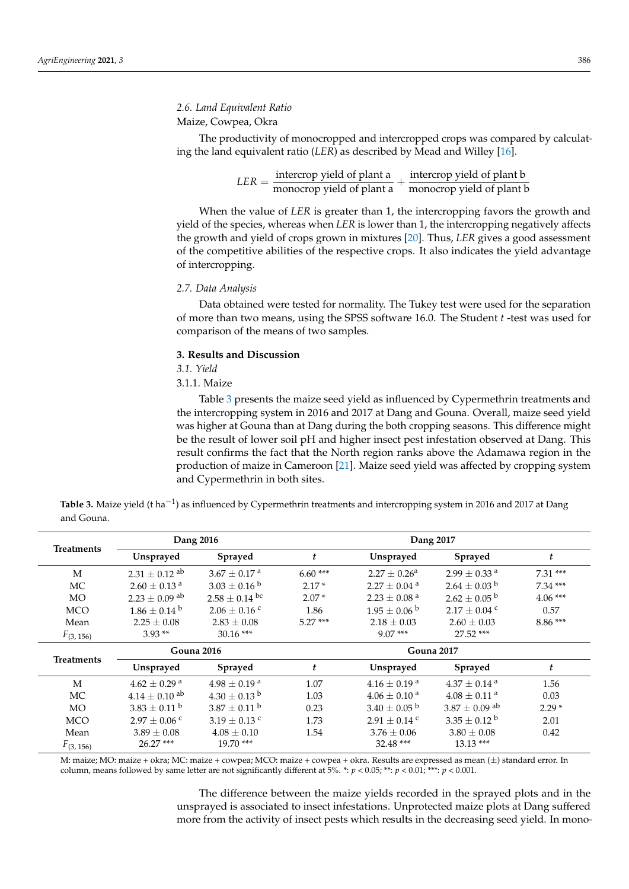## *2.6. Land Equivalent Ratio*

# Maize, Cowpea, Okra

The productivity of monocropped and intercropped crops was compared by calculating the land equivalent ratio (*LER*) as described by Mead and Willey [\[16\]](#page-9-7).

> $LER = \frac{\text{intercop yield of plant a}}{\text{monocrop yield of plant a}} + \frac{\text{intercop yield of plant b}}{\text{monocrop yield of plant}}$ monocrop yield of plant b

When the value of *LER* is greater than 1, the intercropping favors the growth and yield of the species, whereas when *LER* is lower than 1, the intercropping negatively affects the growth and yield of crops grown in mixtures [\[20\]](#page-9-11). Thus, *LER* gives a good assessment of the competitive abilities of the respective crops. It also indicates the yield advantage of intercropping.

#### *2.7. Data Analysis*

Data obtained were tested for normality. The Tukey test were used for the separation of more than two means, using the SPSS software 16.0. The Student *t* -test was used for comparison of the means of two samples.

## **3. Results and Discussion**

*3.1. Yield*

3.1.1. Maize

Table [3](#page-3-0) presents the maize seed yield as influenced by Cypermethrin treatments and the intercropping system in 2016 and 2017 at Dang and Gouna. Overall, maize seed yield was higher at Gouna than at Dang during the both cropping seasons. This difference might be the result of lower soil pH and higher insect pest infestation observed at Dang. This result confirms the fact that the North region ranks above the Adamawa region in the production of maize in Cameroon [\[21\]](#page-9-12). Maize seed yield was affected by cropping system and Cypermethrin in both sites.

<span id="page-3-0"></span>**Table 3.** Maize yield (t ha−<sup>1</sup> ) as influenced by Cypermethrin treatments and intercropping system in 2016 and 2017 at Dang and Gouna.

|                   | Dang 2016                     |                              | Dang 2017        |                              |                               |           |
|-------------------|-------------------------------|------------------------------|------------------|------------------------------|-------------------------------|-----------|
| <b>Treatments</b> | Unsprayed                     | Sprayed                      | $\boldsymbol{t}$ | Unsprayed                    | <b>Sprayed</b>                | t         |
| M                 | $2.31 \pm 0.12$ <sup>ab</sup> | $3.67 \pm 0.17$ <sup>a</sup> | $6.60***$        | $2.27 \pm 0.26^a$            | $2.99 \pm 0.33$ <sup>a</sup>  | $7.31***$ |
| MC                | $2.60 \pm 0.13$ <sup>a</sup>  | $3.03 \pm 0.16^{b}$          | $2.17*$          | $2.27 \pm 0.04$ <sup>a</sup> | $2.64 \pm 0.03$ <sup>b</sup>  | $7.34***$ |
| <b>MO</b>         | $2.23 \pm 0.09$ <sup>ab</sup> | $2.58 \pm 0.14$ bc           | $2.07*$          | $2.23 \pm 0.08$ <sup>a</sup> | $2.62 \pm 0.05^{\mathrm{b}}$  | $4.06***$ |
| <b>MCO</b>        | $1.86 \pm 0.14^{\text{ b}}$   | $2.06 \pm 0.16$ c            | 1.86             | $1.95 \pm 0.06^{\circ b}$    | $2.17 \pm 0.04$ c             | 0.57      |
| Mean              | $2.25 \pm 0.08$               | $2.83 \pm 0.08$              | $5.27***$        | $2.18 \pm 0.03$              | $2.60 \pm 0.03$               | $8.86***$ |
| $F_{(3, 156)}$    | $3.93**$                      | $30.16$ ***                  |                  | $9.07***$                    | 27.52 ***                     |           |
| <b>Gouna 2016</b> |                               | <b>Gouna 2017</b>            |                  |                              |                               |           |
| <b>Treatments</b> | Unsprayed                     | Sprayed                      | t                | Unsprayed                    | Sprayed                       | t         |
| M                 | $4.62 \pm 0.29$ <sup>a</sup>  | $4.98 \pm 0.19$ <sup>a</sup> | 1.07             | $4.16 \pm 0.19$ <sup>a</sup> | $4.37 + 0.14$ <sup>a</sup>    | 1.56      |
| MC                | $4.14 \pm 0.10$ ab            | $4.30 \pm 0.13$ b            | 1.03             | $4.06 \pm 0.10^{\text{ a}}$  | $4.08 \pm 0.11$ <sup>a</sup>  | 0.03      |
| <b>MO</b>         | $3.83 + 0.11^{b}$             | $3.87 + 0.11$ b              | 0.23             | $3.40 \pm 0.05^{\mathrm{b}}$ | $3.87 \pm 0.09$ <sup>ab</sup> | $2.29*$   |
| <b>MCO</b>        | $2.97 \pm 0.06$ c             | $3.19 \pm 0.13$ c            | 1.73             | $2.91 \pm 0.14$ c            | $3.35 \pm 0.12^{\mathrm{b}}$  | 2.01      |
| Mean              | $3.89 \pm 0.08$               | $4.08 \pm 0.10$              | 1.54             | $3.76 \pm 0.06$              | $3.80 \pm 0.08$               | 0.42      |
| $F_{(3, 156)}$    | $26.27***$                    | $19.70***$                   |                  | $32.48$ ***                  | $13.13***$                    |           |

M: maize; MO: maize + okra; MC: maize + cowpea; MCO: maize + cowpea + okra. Results are expressed as mean (±) standard error. In column, means followed by same letter are not significantly different at  $\overline{5}\%$ . \*:  $p < 0.05$ ; \*\*:  $p < 0.01$ ; \*\*\*:  $p < 0.001$ .

> The difference between the maize yields recorded in the sprayed plots and in the unsprayed is associated to insect infestations. Unprotected maize plots at Dang suffered more from the activity of insect pests which results in the decreasing seed yield. In mono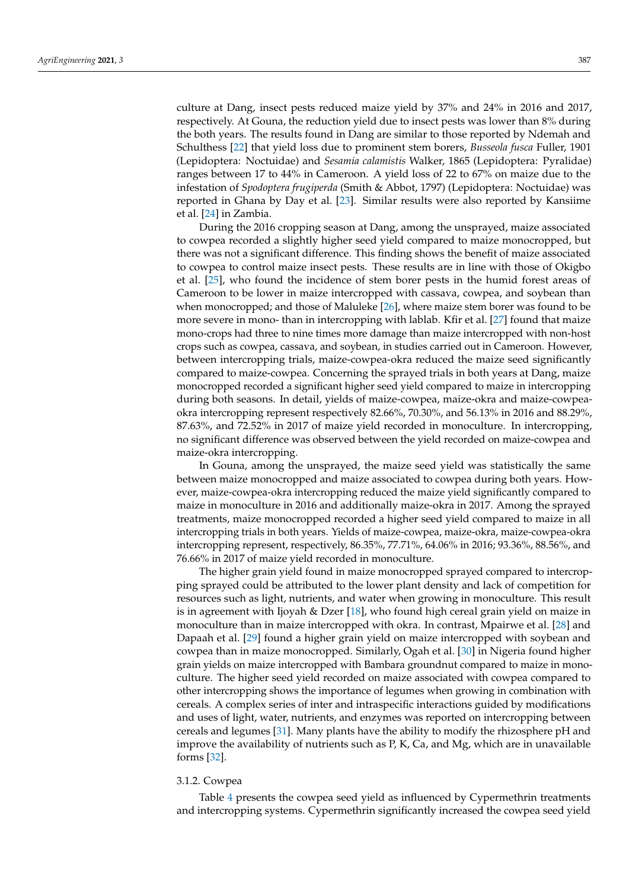culture at Dang, insect pests reduced maize yield by 37% and 24% in 2016 and 2017, respectively. At Gouna, the reduction yield due to insect pests was lower than 8% during the both years. The results found in Dang are similar to those reported by Ndemah and Schulthess [\[22\]](#page-9-13) that yield loss due to prominent stem borers, *Busseola fusca* Fuller, 1901 (Lepidoptera: Noctuidae) and *Sesamia calamistis* Walker, 1865 (Lepidoptera: Pyralidae) ranges between 17 to 44% in Cameroon. A yield loss of 22 to 67% on maize due to the infestation of *Spodoptera frugiperda* (Smith & Abbot, 1797) (Lepidoptera: Noctuidae) was reported in Ghana by Day et al. [\[23\]](#page-9-14). Similar results were also reported by Kansiime et al. [\[24\]](#page-9-15) in Zambia.

During the 2016 cropping season at Dang, among the unsprayed, maize associated to cowpea recorded a slightly higher seed yield compared to maize monocropped, but there was not a significant difference. This finding shows the benefit of maize associated to cowpea to control maize insect pests. These results are in line with those of Okigbo et al. [\[25\]](#page-9-16), who found the incidence of stem borer pests in the humid forest areas of Cameroon to be lower in maize intercropped with cassava, cowpea, and soybean than when monocropped; and those of Maluleke [\[26\]](#page-9-17), where maize stem borer was found to be more severe in mono- than in intercropping with lablab. Kfir et al. [\[27\]](#page-9-18) found that maize mono-crops had three to nine times more damage than maize intercropped with non-host crops such as cowpea, cassava, and soybean, in studies carried out in Cameroon. However, between intercropping trials, maize-cowpea-okra reduced the maize seed significantly compared to maize-cowpea. Concerning the sprayed trials in both years at Dang, maize monocropped recorded a significant higher seed yield compared to maize in intercropping during both seasons. In detail, yields of maize-cowpea, maize-okra and maize-cowpeaokra intercropping represent respectively 82.66%, 70.30%, and 56.13% in 2016 and 88.29%, 87.63%, and 72.52% in 2017 of maize yield recorded in monoculture. In intercropping, no significant difference was observed between the yield recorded on maize-cowpea and maize-okra intercropping.

In Gouna, among the unsprayed, the maize seed yield was statistically the same between maize monocropped and maize associated to cowpea during both years. However, maize-cowpea-okra intercropping reduced the maize yield significantly compared to maize in monoculture in 2016 and additionally maize-okra in 2017. Among the sprayed treatments, maize monocropped recorded a higher seed yield compared to maize in all intercropping trials in both years. Yields of maize-cowpea, maize-okra, maize-cowpea-okra intercropping represent, respectively, 86.35%, 77.71%, 64.06% in 2016; 93.36%, 88.56%, and 76.66% in 2017 of maize yield recorded in monoculture.

The higher grain yield found in maize monocropped sprayed compared to intercropping sprayed could be attributed to the lower plant density and lack of competition for resources such as light, nutrients, and water when growing in monoculture. This result is in agreement with Ijoyah & Dzer [\[18\]](#page-9-9), who found high cereal grain yield on maize in monoculture than in maize intercropped with okra. In contrast, Mpairwe et al. [\[28\]](#page-9-19) and Dapaah et al. [\[29\]](#page-9-20) found a higher grain yield on maize intercropped with soybean and cowpea than in maize monocropped. Similarly, Ogah et al. [\[30\]](#page-9-21) in Nigeria found higher grain yields on maize intercropped with Bambara groundnut compared to maize in monoculture. The higher seed yield recorded on maize associated with cowpea compared to other intercropping shows the importance of legumes when growing in combination with cereals. A complex series of inter and intraspecific interactions guided by modifications and uses of light, water, nutrients, and enzymes was reported on intercropping between cereals and legumes [\[31\]](#page-9-22). Many plants have the ability to modify the rhizosphere pH and improve the availability of nutrients such as P, K, Ca, and Mg, which are in unavailable forms [\[32\]](#page-9-23).

#### 3.1.2. Cowpea

Table [4](#page-5-0) presents the cowpea seed yield as influenced by Cypermethrin treatments and intercropping systems. Cypermethrin significantly increased the cowpea seed yield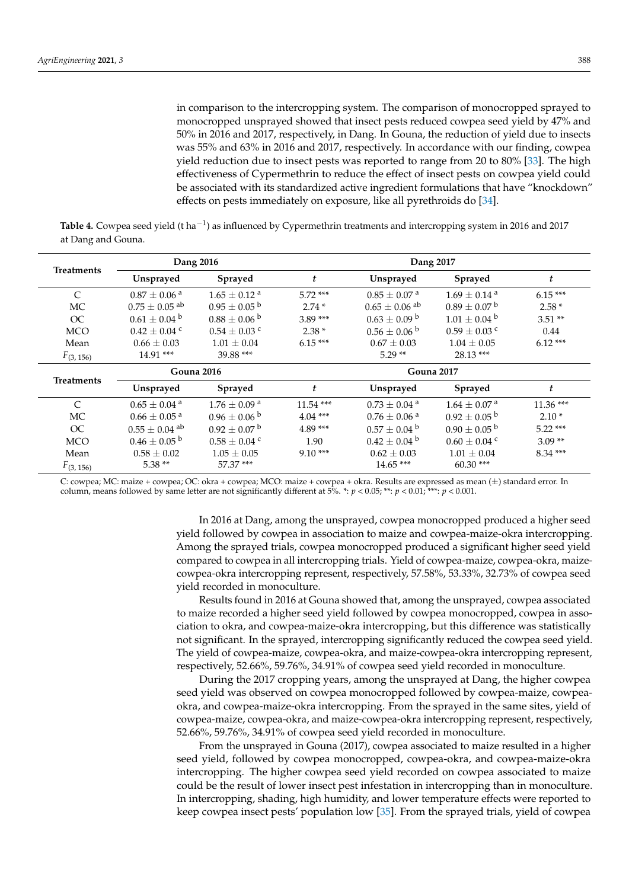in comparison to the intercropping system. The comparison of monocropped sprayed to monocropped unsprayed showed that insect pests reduced cowpea seed yield by 47% and 50% in 2016 and 2017, respectively, in Dang. In Gouna, the reduction of yield due to insects was 55% and 63% in 2016 and 2017, respectively. In accordance with our finding, cowpea yield reduction due to insect pests was reported to range from 20 to 80% [\[33\]](#page-9-24). The high effectiveness of Cypermethrin to reduce the effect of insect pests on cowpea yield could be associated with its standardized active ingredient formulations that have "knockdown" effects on pests immediately on exposure, like all pyrethroids do [\[34\]](#page-9-25).

<span id="page-5-0"></span>**Table 4.** Cowpea seed yield (t ha<sup>-1</sup>) as influenced by Cypermethrin treatments and intercropping system in 2016 and 2017 at Dang and Gouna.

| Dang 2016<br><b>Treatments</b> |                               |                              | Dang 2017         |                               |                              |            |
|--------------------------------|-------------------------------|------------------------------|-------------------|-------------------------------|------------------------------|------------|
|                                | Unsprayed                     | <b>Sprayed</b>               | t                 | Unsprayed                     | <b>Sprayed</b>               | t          |
| $\mathcal{C}$                  | $0.87 \pm 0.06$ <sup>a</sup>  | $1.65 + 0.12$ <sup>a</sup>   | $5.72***$         | $0.85 \pm 0.07$ <sup>a</sup>  | $1.69 \pm 0.14$ <sup>a</sup> | $6.15***$  |
| <b>MC</b>                      | $0.75 \pm 0.05$ <sup>ab</sup> | $0.95 \pm 0.05^{\mathrm{b}}$ | $2.74*$           | $0.65 \pm 0.06$ <sup>ab</sup> | $0.89 \pm 0.07^{\mathrm{b}}$ | $2.58*$    |
| OC                             | $0.61 \pm 0.04^{\mathrm{b}}$  | $0.88 \pm 0.06^{\circ b}$    | $3.89***$         | $0.63 \pm 0.09$ b             | $1.01 \pm 0.04$ b            | $3.51**$   |
| <b>MCO</b>                     | $0.42 \pm 0.04$ c             | $0.54\pm0.03$ $^{\rm c}$     | $2.38*$           | $0.56 \pm 0.06^{\mathrm{b}}$  | $0.59 \pm 0.03$ c            | 0.44       |
| Mean                           | $0.66 \pm 0.03$               | $1.01 + 0.04$                | $6.15***$         | $0.67 + 0.03$                 | $1.04 + 0.05$                | $6.12***$  |
| $F_{(3, 156)}$                 | $14.91***$                    | 39.88 ***                    |                   | $5.29**$                      | $28.13***$                   |            |
|                                | <b>Gouna 2016</b>             |                              | <b>Gouna 2017</b> |                               |                              |            |
|                                |                               |                              |                   |                               |                              |            |
| <b>Treatments</b>              | Unsprayed                     | Sprayed                      | t                 | Unsprayed                     | Sprayed                      | t          |
| $\mathcal{C}$                  | $0.65 \pm 0.04$ <sup>a</sup>  | $1.76\pm0.09$ a              | $11.54$ ***       | $0.73 \pm 0.04$ <sup>a</sup>  | $1.64\pm0.07$ $^{\rm a}$     | $11.36***$ |
| <b>MC</b>                      | $0.66 \pm 0.05$ <sup>a</sup>  | $0.96 \pm 0.06^{\mathrm{b}}$ | $4.04***$         | $0.76 \pm 0.06$ <sup>a</sup>  | $0.92 \pm 0.05^{\mathrm{b}}$ | $2.10*$    |
| OC                             | $0.55 \pm 0.04$ <sup>ab</sup> | $0.92 \pm 0.07$ <sup>b</sup> | $4.89***$         | $0.57 \pm 0.04^{\text{ b}}$   | $0.90 \pm 0.05^{\mathrm{b}}$ | $5.22***$  |
| <b>MCO</b>                     | $0.46 \pm 0.05^{\mathrm{b}}$  | $0.58 \pm 0.04$ c            | 1.90              | $0.42 \pm 0.04^{\circ}$       | $0.60 \pm 0.04$ c            | $3.09**$   |
| Mean                           | $0.58 \pm 0.02$               | $1.05 \pm 0.05$              | $9.10***$         | $0.62 \pm 0.03$               | $1.01 \pm 0.04$              | $8.34***$  |

C: cowpea; MC: maize + cowpea; OC: okra + cowpea; MCO: maize + cowpea + okra. Results are expressed as mean (±) standard error. In column, means followed by same letter are not significantly different at 5%. \*: *p* < 0.05; \*\*: *p* < 0.01; \*\*\*: *p* < 0.001.

> In 2016 at Dang, among the unsprayed, cowpea monocropped produced a higher seed yield followed by cowpea in association to maize and cowpea-maize-okra intercropping. Among the sprayed trials, cowpea monocropped produced a significant higher seed yield compared to cowpea in all intercropping trials. Yield of cowpea-maize, cowpea-okra, maizecowpea-okra intercropping represent, respectively, 57.58%, 53.33%, 32.73% of cowpea seed yield recorded in monoculture.

> Results found in 2016 at Gouna showed that, among the unsprayed, cowpea associated to maize recorded a higher seed yield followed by cowpea monocropped, cowpea in association to okra, and cowpea-maize-okra intercropping, but this difference was statistically not significant. In the sprayed, intercropping significantly reduced the cowpea seed yield. The yield of cowpea-maize, cowpea-okra, and maize-cowpea-okra intercropping represent, respectively, 52.66%, 59.76%, 34.91% of cowpea seed yield recorded in monoculture.

> During the 2017 cropping years, among the unsprayed at Dang, the higher cowpea seed yield was observed on cowpea monocropped followed by cowpea-maize, cowpeaokra, and cowpea-maize-okra intercropping. From the sprayed in the same sites, yield of cowpea-maize, cowpea-okra, and maize-cowpea-okra intercropping represent, respectively, 52.66%, 59.76%, 34.91% of cowpea seed yield recorded in monoculture.

> From the unsprayed in Gouna (2017), cowpea associated to maize resulted in a higher seed yield, followed by cowpea monocropped, cowpea-okra, and cowpea-maize-okra intercropping. The higher cowpea seed yield recorded on cowpea associated to maize could be the result of lower insect pest infestation in intercropping than in monoculture. In intercropping, shading, high humidity, and lower temperature effects were reported to keep cowpea insect pests' population low [\[35\]](#page-10-0). From the sprayed trials, yield of cowpea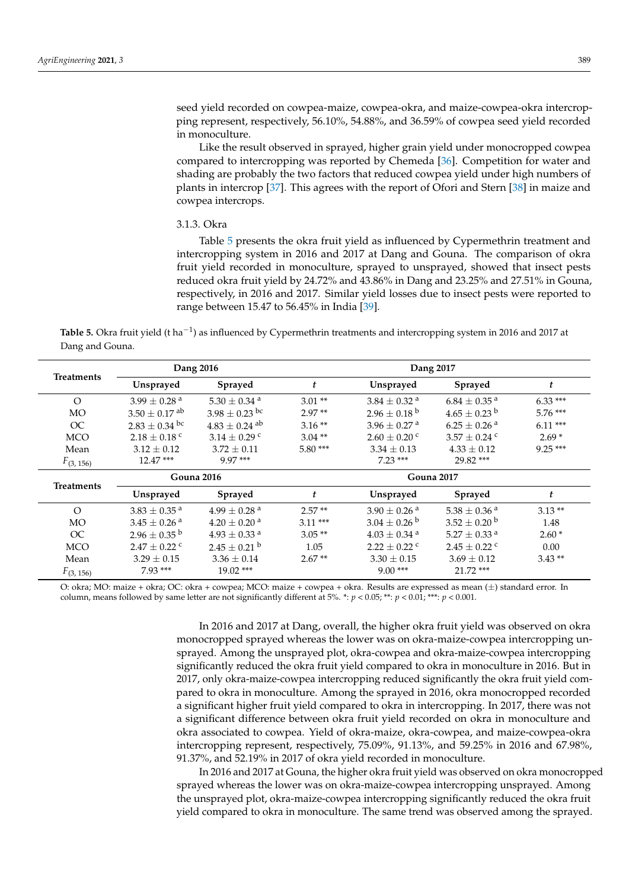seed yield recorded on cowpea-maize, cowpea-okra, and maize-cowpea-okra intercropping represent, respectively, 56.10%, 54.88%, and 36.59% of cowpea seed yield recorded in monoculture.

Like the result observed in sprayed, higher grain yield under monocropped cowpea compared to intercropping was reported by Chemeda [\[36\]](#page-10-1). Competition for water and shading are probably the two factors that reduced cowpea yield under high numbers of plants in intercrop [\[37\]](#page-10-2). This agrees with the report of Ofori and Stern [\[38\]](#page-10-3) in maize and cowpea intercrops.

#### 3.1.3. Okra

Table [5](#page-6-0) presents the okra fruit yield as influenced by Cypermethrin treatment and intercropping system in 2016 and 2017 at Dang and Gouna. The comparison of okra fruit yield recorded in monoculture, sprayed to unsprayed, showed that insect pests reduced okra fruit yield by 24.72% and 43.86% in Dang and 23.25% and 27.51% in Gouna, respectively, in 2016 and 2017. Similar yield losses due to insect pests were reported to range between 15.47 to 56.45% in India [\[39\]](#page-10-4).

<span id="page-6-0"></span>**Table 5.** Okra fruit yield (t ha−<sup>1</sup> ) as influenced by Cypermethrin treatments and intercropping system in 2016 and 2017 at Dang and Gouna.

|                   |                              | Dang 2016                     | Dang 2017        |                              |                              |           |
|-------------------|------------------------------|-------------------------------|------------------|------------------------------|------------------------------|-----------|
| <b>Treatments</b> | Unsprayed                    | <b>Sprayed</b>                | $\boldsymbol{t}$ | Unsprayed                    | <b>Sprayed</b>               | t         |
| $\Omega$          | $3.99 \pm 0.28$ <sup>a</sup> | $5.30 \pm 0.34$ <sup>a</sup>  | $3.01**$         | $3.84 \pm 0.32$ <sup>a</sup> | $6.84 \pm 0.35$ <sup>a</sup> | $6.33***$ |
| <b>MO</b>         | $3.50 + 0.17$ <sup>ab</sup>  | $3.98 \pm 0.23$ bc            | $2.97**$         | $2.96 \pm 0.18^{\text{ b}}$  | $4.65 \pm 0.23$ b            | $5.76***$ |
| OC                | $2.83 \pm 0.34$ bc           | $4.83 \pm 0.24$ <sup>ab</sup> | $3.16**$         | $3.96 \pm 0.27$ <sup>a</sup> | $6.25 + 0.26$ <sup>a</sup>   | $6.11***$ |
| <b>MCO</b>        | $2.18 \pm 0.18$ c            | $3.14 \pm 0.29$ c             | $3.04**$         | $2.60 \pm 0.20$ c            | $3.57 + 0.24$ c              | $2.69*$   |
| Mean              | $3.12 + 0.12$                | $3.72 + 0.11$                 | $5.80***$        | $3.34 \pm 0.13$              | $4.33 + 0.12$                | $9.25***$ |
| $F_{(3, 156)}$    | $12.47***$                   | $9.97***$                     |                  | $7.23***$                    | 29.82 ***                    |           |
| <b>Gouna 2016</b> |                              | <b>Gouna 2017</b>             |                  |                              |                              |           |
| Treatments        | Unsprayed                    | Sprayed                       | t                | Unsprayed                    | <b>Sprayed</b>               | t         |
| $\Omega$          | $3.83 \pm 0.35$ <sup>a</sup> | $4.99 \pm 0.28$ <sup>a</sup>  | $2.57**$         | $3.90 \pm 0.26$ <sup>a</sup> | $5.38\pm0.36$ $^{\rm a}$     | $3.13**$  |
| <b>MO</b>         | $3.45 \pm 0.26$ <sup>a</sup> | $4.20 \pm 0.20$ <sup>a</sup>  | $3.11***$        | $3.04 \pm 0.26$ b            | $3.52 \pm 0.20^{\mathrm{b}}$ | 1.48      |
| OC                | $2.96 \pm 0.35^{\mathrm{b}}$ | $4.93 \pm 0.33$ <sup>a</sup>  | $3.05**$         | $4.03 \pm 0.34$ <sup>a</sup> | $5.27 \pm 0.33$ <sup>a</sup> | $2.60*$   |
| <b>MCO</b>        | $2.47 + 0.22$ c              | $2.45 \pm 0.21$ <sup>b</sup>  | 1.05             | $2.22 + 0.22$ c              | $2.45 \pm 0.22$ c            | 0.00      |
| Mean              | $3.29 \pm 0.15$              | $3.36 \pm 0.14$               | $2.67**$         | $3.30 \pm 0.15$              | $3.69 \pm 0.12$              | $3.43**$  |
| $F_{(3, 156)}$    | $7.93***$                    | $19.02$ ***                   |                  | $9.00***$                    | $21.72$ ***                  |           |

O: okra; MO: maize + okra; OC: okra + cowpea; MCO: maize + cowpea + okra. Results are expressed as mean (±) standard error. In column, means followed by same letter are not significantly different at 5%. \*: *p* < 0.05; \*\*: *p* < 0.01; \*\*\*: *p* < 0.001.

> In 2016 and 2017 at Dang, overall, the higher okra fruit yield was observed on okra monocropped sprayed whereas the lower was on okra-maize-cowpea intercropping unsprayed. Among the unsprayed plot, okra-cowpea and okra-maize-cowpea intercropping significantly reduced the okra fruit yield compared to okra in monoculture in 2016. But in 2017, only okra-maize-cowpea intercropping reduced significantly the okra fruit yield compared to okra in monoculture. Among the sprayed in 2016, okra monocropped recorded a significant higher fruit yield compared to okra in intercropping. In 2017, there was not a significant difference between okra fruit yield recorded on okra in monoculture and okra associated to cowpea. Yield of okra-maize, okra-cowpea, and maize-cowpea-okra intercropping represent, respectively, 75.09%, 91.13%, and 59.25% in 2016 and 67.98%, 91.37%, and 52.19% in 2017 of okra yield recorded in monoculture.

In 2016 and 2017 at Gouna, the higher okra fruit yield was observed on okra monocropped sprayed whereas the lower was on okra-maize-cowpea intercropping unsprayed. Among the unsprayed plot, okra-maize-cowpea intercropping significantly reduced the okra fruit yield compared to okra in monoculture. The same trend was observed among the sprayed.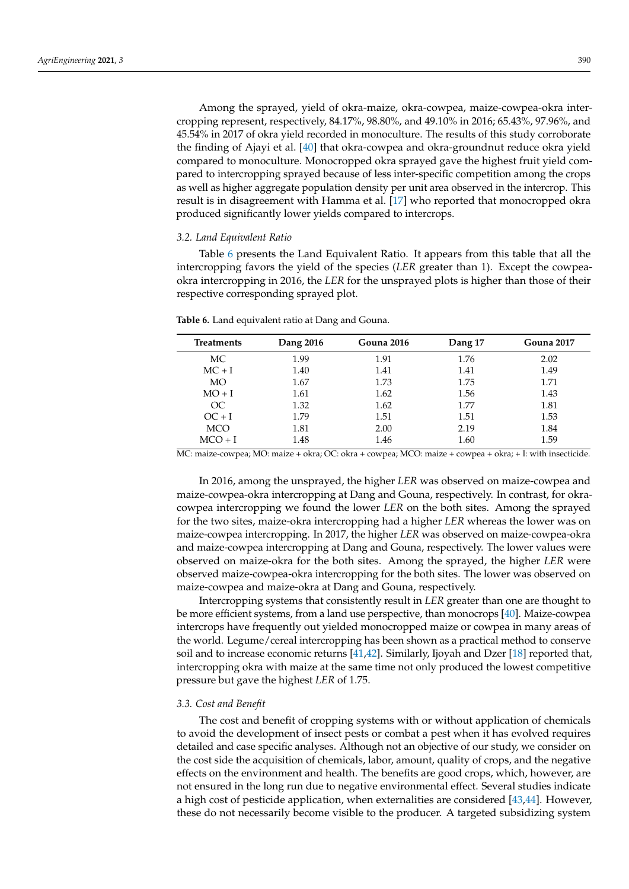Among the sprayed, yield of okra-maize, okra-cowpea, maize-cowpea-okra intercropping represent, respectively, 84.17%, 98.80%, and 49.10% in 2016; 65.43%, 97.96%, and 45.54% in 2017 of okra yield recorded in monoculture. The results of this study corroborate the finding of Ajayi et al. [\[40\]](#page-10-5) that okra-cowpea and okra-groundnut reduce okra yield compared to monoculture. Monocropped okra sprayed gave the highest fruit yield compared to intercropping sprayed because of less inter-specific competition among the crops as well as higher aggregate population density per unit area observed in the intercrop. This result is in disagreement with Hamma et al. [\[17\]](#page-9-8) who reported that monocropped okra produced significantly lower yields compared to intercrops.

#### *3.2. Land Equivalent Ratio*

Table [6](#page-7-0) presents the Land Equivalent Ratio. It appears from this table that all the intercropping favors the yield of the species (*LER* greater than 1). Except the cowpeaokra intercropping in 2016, the *LER* for the unsprayed plots is higher than those of their respective corresponding sprayed plot.

| <b>Treatments</b> | Dang 2016 | <b>Gouna 2016</b> | Dang 17 | <b>Gouna 2017</b> |
|-------------------|-----------|-------------------|---------|-------------------|
| МC                | 1.99      | 1.91              | 1.76    | 2.02              |
| $MC + I$          | 1.40      | 1.41              | 1.41    | 1.49              |
| MO                | 1.67      | 1.73              | 1.75    | 1.71              |
| $MO + I$          | 1.61      | 1.62              | 1.56    | 1.43              |
| OC                | 1.32      | 1.62              | 1.77    | 1.81              |
| $OC + I$          | 1.79      | 1.51              | 1.51    | 1.53              |
| <b>MCO</b>        | 1.81      | 2.00              | 2.19    | 1.84              |
| $MCO + I$         | 1.48      | 1.46              | 1.60    | 1.59              |

<span id="page-7-0"></span>**Table 6.** Land equivalent ratio at Dang and Gouna.

MC: maize-cowpea; MO: maize + okra; OC: okra + cowpea; MCO: maize + cowpea + okra; + I: with insecticide.

In 2016, among the unsprayed, the higher *LER* was observed on maize-cowpea and maize-cowpea-okra intercropping at Dang and Gouna, respectively. In contrast, for okracowpea intercropping we found the lower *LER* on the both sites. Among the sprayed for the two sites, maize-okra intercropping had a higher *LER* whereas the lower was on maize-cowpea intercropping. In 2017, the higher *LER* was observed on maize-cowpea-okra and maize-cowpea intercropping at Dang and Gouna, respectively. The lower values were observed on maize-okra for the both sites. Among the sprayed, the higher *LER* were observed maize-cowpea-okra intercropping for the both sites. The lower was observed on maize-cowpea and maize-okra at Dang and Gouna, respectively.

Intercropping systems that consistently result in *LER* greater than one are thought to be more efficient systems, from a land use perspective, than monocrops [\[40\]](#page-10-5). Maize-cowpea intercrops have frequently out yielded monocropped maize or cowpea in many areas of the world. Legume/cereal intercropping has been shown as a practical method to conserve soil and to increase economic returns [\[41](#page-10-6)[,42\]](#page-10-7). Similarly, Ijoyah and Dzer [\[18\]](#page-9-9) reported that, intercropping okra with maize at the same time not only produced the lowest competitive pressure but gave the highest *LER* of 1.75.

#### *3.3. Cost and Benefit*

The cost and benefit of cropping systems with or without application of chemicals to avoid the development of insect pests or combat a pest when it has evolved requires detailed and case specific analyses. Although not an objective of our study, we consider on the cost side the acquisition of chemicals, labor, amount, quality of crops, and the negative effects on the environment and health. The benefits are good crops, which, however, are not ensured in the long run due to negative environmental effect. Several studies indicate a high cost of pesticide application, when externalities are considered [\[43](#page-10-8)[,44\]](#page-10-9). However, these do not necessarily become visible to the producer. A targeted subsidizing system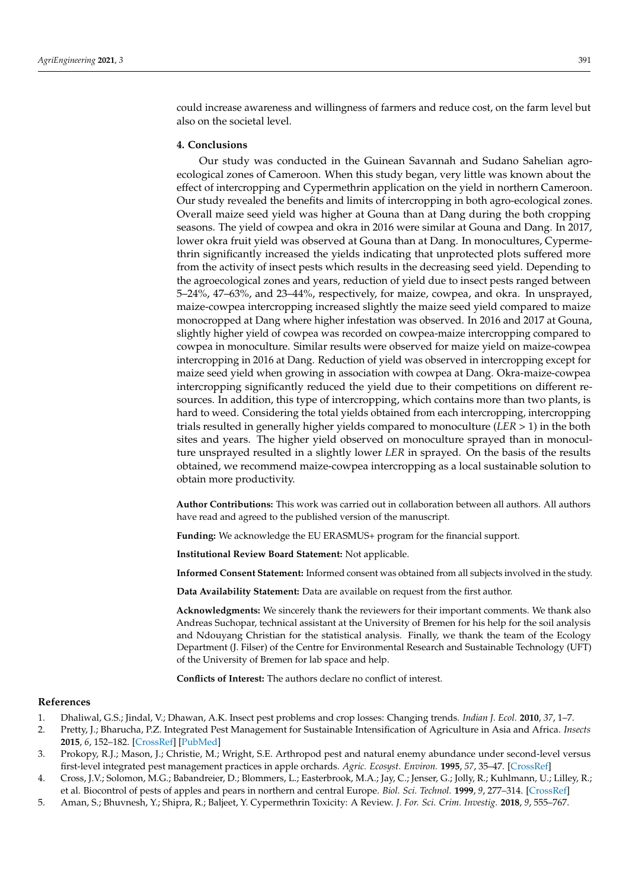could increase awareness and willingness of farmers and reduce cost, on the farm level but also on the societal level.

## **4. Conclusions**

Our study was conducted in the Guinean Savannah and Sudano Sahelian agroecological zones of Cameroon. When this study began, very little was known about the effect of intercropping and Cypermethrin application on the yield in northern Cameroon. Our study revealed the benefits and limits of intercropping in both agro-ecological zones. Overall maize seed yield was higher at Gouna than at Dang during the both cropping seasons. The yield of cowpea and okra in 2016 were similar at Gouna and Dang. In 2017, lower okra fruit yield was observed at Gouna than at Dang. In monocultures, Cypermethrin significantly increased the yields indicating that unprotected plots suffered more from the activity of insect pests which results in the decreasing seed yield. Depending to the agroecological zones and years, reduction of yield due to insect pests ranged between 5–24%, 47–63%, and 23–44%, respectively, for maize, cowpea, and okra. In unsprayed, maize-cowpea intercropping increased slightly the maize seed yield compared to maize monocropped at Dang where higher infestation was observed. In 2016 and 2017 at Gouna, slightly higher yield of cowpea was recorded on cowpea-maize intercropping compared to cowpea in monoculture. Similar results were observed for maize yield on maize-cowpea intercropping in 2016 at Dang. Reduction of yield was observed in intercropping except for maize seed yield when growing in association with cowpea at Dang. Okra-maize-cowpea intercropping significantly reduced the yield due to their competitions on different resources. In addition, this type of intercropping, which contains more than two plants, is hard to weed. Considering the total yields obtained from each intercropping, intercropping trials resulted in generally higher yields compared to monoculture (*LER* > 1) in the both sites and years. The higher yield observed on monoculture sprayed than in monoculture unsprayed resulted in a slightly lower *LER* in sprayed. On the basis of the results obtained, we recommend maize-cowpea intercropping as a local sustainable solution to obtain more productivity.

**Author Contributions:** This work was carried out in collaboration between all authors. All authors have read and agreed to the published version of the manuscript.

**Funding:** We acknowledge the EU ERASMUS+ program for the financial support.

**Institutional Review Board Statement:** Not applicable.

**Informed Consent Statement:** Informed consent was obtained from all subjects involved in the study.

**Data Availability Statement:** Data are available on request from the first author.

**Acknowledgments:** We sincerely thank the reviewers for their important comments. We thank also Andreas Suchopar, technical assistant at the University of Bremen for his help for the soil analysis and Ndouyang Christian for the statistical analysis. Finally, we thank the team of the Ecology Department (J. Filser) of the Centre for Environmental Research and Sustainable Technology (UFT) of the University of Bremen for lab space and help.

**Conflicts of Interest:** The authors declare no conflict of interest.

#### **References**

- <span id="page-8-0"></span>1. Dhaliwal, G.S.; Jindal, V.; Dhawan, A.K. Insect pest problems and crop losses: Changing trends. *Indian J. Ecol.* **2010**, *37*, 1–7.
- <span id="page-8-1"></span>2. Pretty, J.; Bharucha, P.Z. Integrated Pest Management for Sustainable Intensification of Agriculture in Asia and Africa. *Insects* **2015**, *6*, 152–182. [\[CrossRef\]](http://doi.org/10.3390/insects6010152) [\[PubMed\]](http://www.ncbi.nlm.nih.gov/pubmed/26463073)
- <span id="page-8-2"></span>3. Prokopy, R.J.; Mason, J.; Christie, M.; Wright, S.E. Arthropod pest and natural enemy abundance under second-level versus first-level integrated pest management practices in apple orchards. *Agric. Ecosyst. Environ.* **1995**, *57*, 35–47. [\[CrossRef\]](http://doi.org/10.1016/0167-8809(95)00657-5)
- 4. Cross, J.V.; Solomon, M.G.; Babandreier, D.; Blommers, L.; Easterbrook, M.A.; Jay, C.; Jenser, G.; Jolly, R.; Kuhlmann, U.; Lilley, R.; et al. Biocontrol of pests of apples and pears in northern and central Europe. *Biol. Sci. Technol.* **1999**, *9*, 277–314. [\[CrossRef\]](http://doi.org/10.1080/09583159929569)
- 5. Aman, S.; Bhuvnesh, Y.; Shipra, R.; Baljeet, Y. Cypermethrin Toxicity: A Review. *J. For. Sci. Crim. Investig.* **2018**, *9*, 555–767.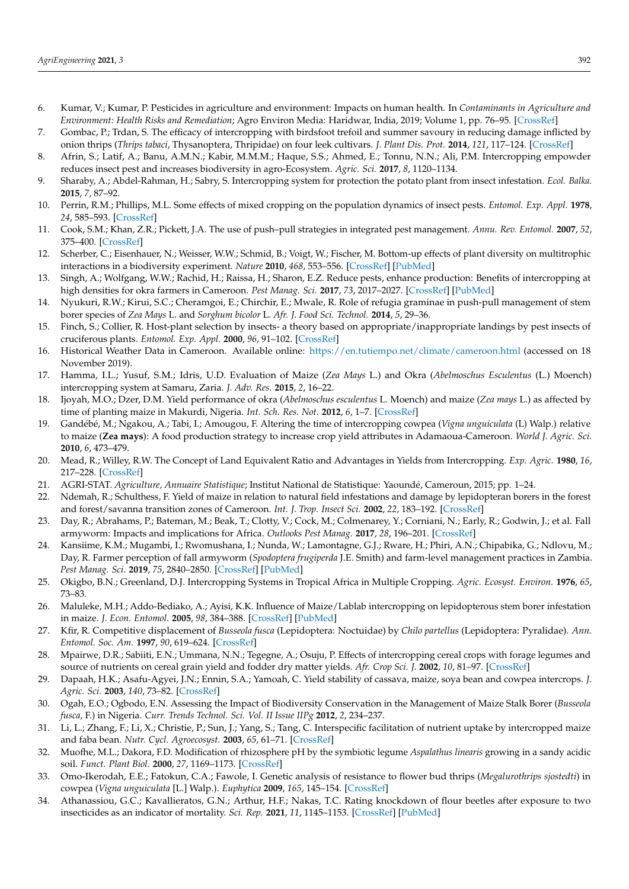- <span id="page-9-0"></span>6. Kumar, V.; Kumar, P. Pesticides in agriculture and environment: Impacts on human health. In *Contaminants in Agriculture and Environment: Health Risks and Remediation*; Agro Environ Media: Haridwar, India, 2019; Volume 1, pp. 76–95. [\[CrossRef\]](http://doi.org/10.26832/AESA-2019-CAE-0160-07)
- <span id="page-9-1"></span>7. Gombac, P.; Trdan, S. The efficacy of intercropping with birdsfoot trefoil and summer savoury in reducing damage inflicted by onion thrips (*Thrips tabaci*, Thysanoptera, Thripidae) on four leek cultivars. *J. Plant Dis. Prot.* **2014**, *121*, 117–124. [\[CrossRef\]](http://doi.org/10.1007/BF03356499)
- 8. Afrin, S.; Latif, A.; Banu, A.M.N.; Kabir, M.M.M.; Haque, S.S.; Ahmed, E.; Tonnu, N.N.; Ali, P.M. Intercropping empowder reduces insect pest and increases biodiversity in agro-Ecosystem. *Agric. Sci.* **2017**, *8*, 1120–1134.
- <span id="page-9-2"></span>9. Sharaby, A.; Abdel-Rahman, H.; Sabry, S. Intercropping system for protection the potato plant from insect infestation. *Ecol. Balka.* **2015**, *7*, 87–92.
- <span id="page-9-3"></span>10. Perrin, R.M.; Phillips, M.L. Some effects of mixed cropping on the population dynamics of insect pests. *Entomol. Exp. Appl.* **1978**, *24*, 585–593. [\[CrossRef\]](http://doi.org/10.1111/j.1570-7458.1978.tb02820.x)
- 11. Cook, S.M.; Khan, Z.R.; Pickett, J.A. The use of push–pull strategies in integrated pest management. *Annu. Rev. Entomol.* **2007**, *52*, 375–400. [\[CrossRef\]](http://doi.org/10.1146/annurev.ento.52.110405.091407)
- 12. Scherber, C.; Eisenhauer, N.; Weisser, W.W.; Schmid, B.; Voigt, W.; Fischer, M. Bottom-up effects of plant diversity on multitrophic interactions in a biodiversity experiment. *Nature* **2010**, *468*, 553–556. [\[CrossRef\]](http://doi.org/10.1038/nature09492) [\[PubMed\]](http://www.ncbi.nlm.nih.gov/pubmed/20981010)
- <span id="page-9-4"></span>13. Singh, A.; Wolfgang, W.W.; Rachid, H.; Raissa, H.; Sharon, E.Z. Reduce pests, enhance production: Benefits of intercropping at high densities for okra farmers in Cameroon. *Pest Manag. Sci.* **2017**, *73*, 2017–2027. [\[CrossRef\]](http://doi.org/10.1002/ps.4636) [\[PubMed\]](http://www.ncbi.nlm.nih.gov/pubmed/28585376)
- <span id="page-9-5"></span>14. Nyukuri, R.W.; Kirui, S.C.; Cheramgoi, E.; Chirchir, E.; Mwale, R. Role of refugia graminae in push-pull management of stem borer species of *Zea Mays* L. and *Sorghum bicolor* L. *Afr. J. Food Sci. Technol.* **2014**, *5*, 29–36.
- <span id="page-9-6"></span>15. Finch, S.; Collier, R. Host-plant selection by insects- a theory based on appropriate/inappropriate landings by pest insects of cruciferous plants. *Entomol. Exp. Appl.* **2000**, *96*, 91–102. [\[CrossRef\]](http://doi.org/10.1046/j.1570-7458.2000.00684.x)
- <span id="page-9-7"></span>16. Historical Weather Data in Cameroon. Available online: <https://en.tutiempo.net/climate/cameroon.html> (accessed on 18 November 2019).
- <span id="page-9-8"></span>17. Hamma, I.L.; Yusuf, S.M.; Idris, U.D. Evaluation of Maize (*Zea Mays* L.) and Okra (*Abelmoschus Esculentus* (L.) Moench) intercropping system at Samaru, Zaria. *J. Adv. Res.* **2015**, *2*, 16–22.
- <span id="page-9-9"></span>18. Ijoyah, M.O.; Dzer, D.M. Yield performance of okra (*Abelmoschus esculentus* L. Moench) and maize (*Zea mays* L.) as affected by time of planting maize in Makurdi, Nigeria. *Int. Sch. Res. Not.* **2012**, *6*, 1–7. [\[CrossRef\]](http://doi.org/10.5402/2012/485810)
- <span id="page-9-10"></span>19. Gandébé, M.; Ngakou, A.; Tabi, I.; Amougou, F. Altering the time of intercropping cowpea (*Vigna unguiculata* (L) Walp.) relative to maize (**Zea mays**): A food production strategy to increase crop yield attributes in Adamaoua-Cameroon. *World J. Agric. Sci.* **2010**, *6*, 473–479.
- <span id="page-9-11"></span>20. Mead, R.; Willey, R.W. The Concept of Land Equivalent Ratio and Advantages in Yields from Intercropping. *Exp. Agric.* **1980**, *16*, 217–228. [\[CrossRef\]](http://doi.org/10.1017/S0014479700010978)
- <span id="page-9-12"></span>21. AGRI-STAT. *Agriculture, Annuaire Statistique*; Institut National de Statistique: Yaoundé, Cameroun, 2015; pp. 1–24.
- <span id="page-9-13"></span>22. Ndemah, R.; Schulthess, F. Yield of maize in relation to natural field infestations and damage by lepidopteran borers in the forest and forest/savanna transition zones of Cameroon. *Int. J. Trop. Insect Sci.* **2002**, *22*, 183–192. [\[CrossRef\]](http://doi.org/10.1017/S1742758400012030)
- <span id="page-9-14"></span>23. Day, R.; Abrahams, P.; Bateman, M.; Beak, T.; Clotty, V.; Cock, M.; Colmenarey, Y.; Corniani, N.; Early, R.; Godwin, J.; et al. Fall armyworm: Impacts and implications for Africa. *Outlooks Pest Manag.* **2017**, *28*, 196–201. [\[CrossRef\]](http://doi.org/10.1564/v28_oct_02)
- <span id="page-9-15"></span>24. Kansiime, K.M.; Mugambi, I.; Rwomushana, I.; Nunda, W.; Lamontagne, G.J.; Rware, H.; Phiri, A.N.; Chipabika, G.; Ndlovu, M.; Day, R. Farmer perception of fall armyworm (*Spodoptera frugiperda* J.E. Smith) and farm-level management practices in Zambia. *Pest Manag. Sci.* **2019**, *75*, 2840–2850. [\[CrossRef\]](http://doi.org/10.1002/ps.5504) [\[PubMed\]](http://www.ncbi.nlm.nih.gov/pubmed/31148397)
- <span id="page-9-16"></span>25. Okigbo, B.N.; Greenland, D.J. Intercropping Systems in Tropical Africa in Multiple Cropping. *Agric. Ecosyst. Environ.* **1976**, *65*, 73–83.
- <span id="page-9-17"></span>26. Maluleke, M.H.; Addo-Bediako, A.; Ayisi, K.K. Influence of Maize/Lablab intercropping on lepidopterous stem borer infestation in maize. *J. Econ. Entomol.* **2005**, *98*, 384–388. [\[CrossRef\]](http://doi.org/10.1093/jee/98.2.384) [\[PubMed\]](http://www.ncbi.nlm.nih.gov/pubmed/15889728)
- <span id="page-9-18"></span>27. Kfir, R. Competitive displacement of *Busseola fusca* (Lepidoptera: Noctuidae) by *Chilo partellus* (Lepidoptera: Pyralidae). *Ann. Entomol. Soc. Am.* **1997**, *90*, 619–624. [\[CrossRef\]](http://doi.org/10.1093/aesa/90.5.619)
- <span id="page-9-19"></span>28. Mpairwe, D.R.; Sabiiti, E.N.; Ummana, N.N.; Tegegne, A.; Osuju, P. Effects of intercropping cereal crops with forage legumes and source of nutrients on cereal grain yield and fodder dry matter yields. *Afr. Crop Sci. J.* **2002**, *10*, 81–97. [\[CrossRef\]](http://doi.org/10.4314/acsj.v10i1.27559)
- <span id="page-9-20"></span>29. Dapaah, H.K.; Asafu-Agyei, J.N.; Ennin, S.A.; Yamoah, C. Yield stability of cassava, maize, soya bean and cowpea intercrops. *J. Agric. Sci.* **2003**, *140*, 73–82. [\[CrossRef\]](http://doi.org/10.1017/S0021859602002770)
- <span id="page-9-21"></span>30. Ogah, E.O.; Ogbodo, E.N. Assessing the Impact of Biodiversity Conservation in the Management of Maize Stalk Borer (*Busseola fusca*, F.) in Nigeria. *Curr. Trends Technol. Sci. Vol. II Issue IIPg* **2012**, *2*, 234–237.
- <span id="page-9-22"></span>31. Li, L.; Zhang, F.; Li, X.; Christie, P.; Sun, J.; Yang, S.; Tang, C. Interspecific facilitation of nutrient uptake by intercropped maize and faba bean. *Nutr. Cycl. Agroecosyst.* **2003**, *65*, 61–71. [\[CrossRef\]](http://doi.org/10.1023/A:1021885032241)
- <span id="page-9-23"></span>32. Muofhe, M.L.; Dakora, F.D. Modification of rhizosphere pH by the symbiotic legume *Aspalathus linearis* growing in a sandy acidic soil. *Funct. Plant Biol.* **2000**, *27*, 1169–1173. [\[CrossRef\]](http://doi.org/10.1071/PP99198)
- <span id="page-9-24"></span>33. Omo-Ikerodah, E.E.; Fatokun, C.A.; Fawole, I. Genetic analysis of resistance to flower bud thrips (*Megalurothrips sjostedti*) in cowpea (*Vigna unguiculata* [L.] Walp.). *Euphytica* **2009**, *165*, 145–154. [\[CrossRef\]](http://doi.org/10.1007/s10681-008-9776-4)
- <span id="page-9-25"></span>34. Athanassiou, G.C.; Kavallieratos, G.N.; Arthur, H.F.; Nakas, T.C. Rating knockdown of flour beetles after exposure to two insecticides as an indicator of mortality. *Sci. Rep.* **2021**, *11*, 1145–1153. [\[CrossRef\]](http://doi.org/10.1038/s41598-020-78982-z) [\[PubMed\]](http://www.ncbi.nlm.nih.gov/pubmed/33441570)